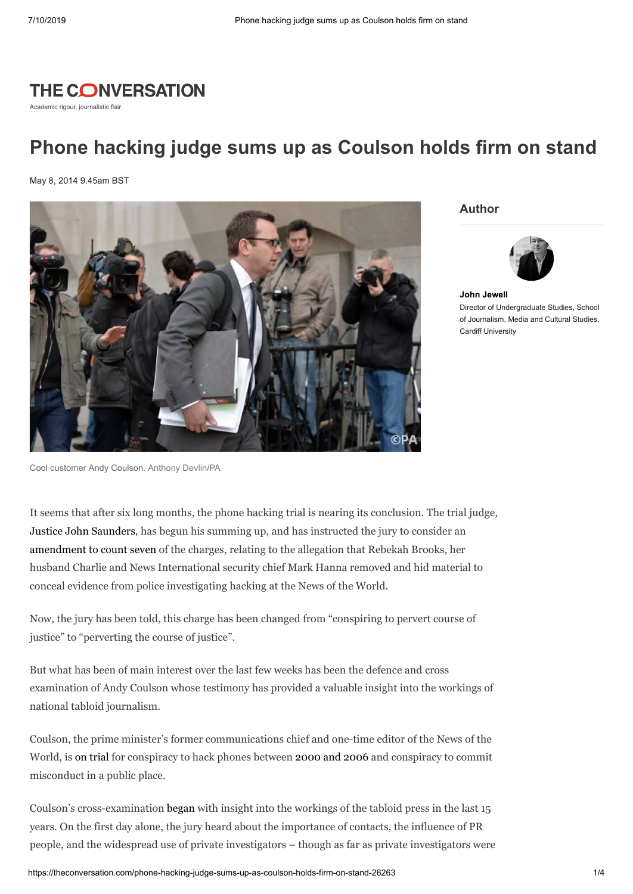

Academic rigour, journalistic flair

## **Phone hacking judge sums up as Coulson holds firm on stand**

May 8, 2014 9.45am BST



**Author**



**John [Jewell](https://theconversation.com/profiles/john-jewell-100660)** Director of Undergraduate Studies, School of Journalism, Media and Cultural Studies, Cardiff University

Cool customer Andy Coulson. [Anthony Devlin/PA](http://images.pressassociation.com/meta/2.19314207.html)

It seems that after six long months, the phone hacking trial is nearing its conclusion. The trial judge, Justice John [Saunders,](http://www.bbc.co.uk/news/uk-24723801) has begun his summing up, and has instructed the jury to consider an [amendment](http://www.thedrum.com/opinion/2014/05/06/phone-hacking-trial-baroness-sayeeda-warsi-gives-character-reference-andy-coulson%20./) to count seven of the charges, relating to the allegation that Rebekah Brooks, her husband Charlie and News International security chief Mark Hanna removed and hid material to conceal evidence from police investigating hacking at the News of the World.

Now, the jury has been told, this charge has been changed from "conspiring to pervert course of justice" to "perverting the course of justice".

But what has been of main interest over the last few weeks has been the defence and cross examination of Andy Coulson whose testimony has provided a valuable insight into the workings of national tabloid journalism.

Coulson, the prime minister's former communications chief and one-time editor of the News of the World, is on [trial](http://www.bbc.co.uk/news/uk-24351068) for conspiracy to hack phones between [2000](http://www.pressgazette.co.uk/former-news-world-editor-andy-coulson-enters-hacking-trial-witness-box) and 2006 and conspiracy to commit misconduct in a public place.

Coulson's cross-examination [began](http://www.thedrum.com/opinion/2014/04/14/phone-hacking-trial-andy-coulson-takes-stand) with insight into the workings of the tabloid press in the last 15 years. On the first day alone, the jury heard about the importance of contacts, the influence of PR people, and the widespread use of private investigators – though as far as private investigators were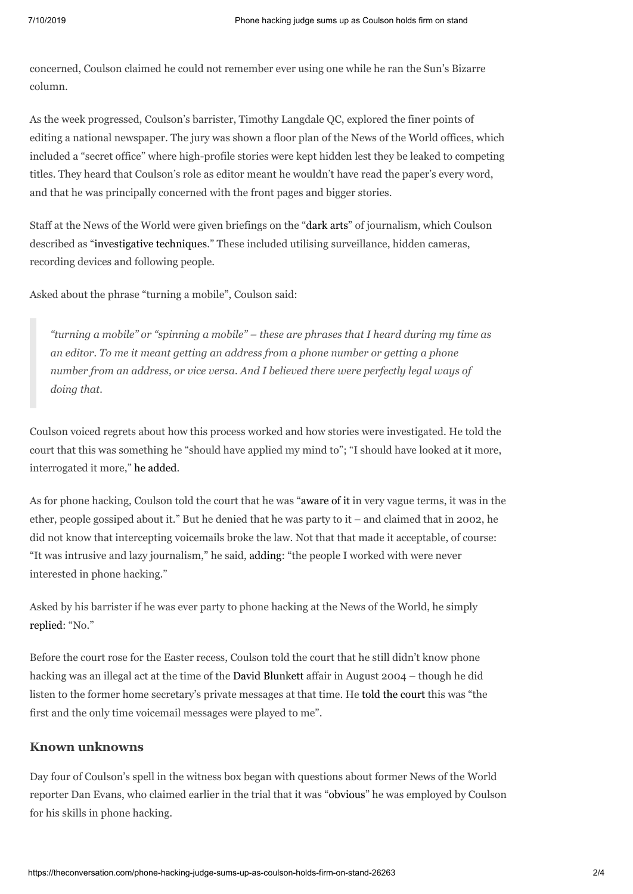concerned, Coulson claimed he could not remember ever using one while he ran the Sun's Bizarre column.

As the week progressed, Coulson's barrister, Timothy Langdale QC, explored the finer points of editing a national newspaper. The jury was shown a floor plan of the News of the World offices, which included a "secret office" where high-profile stories were kept hidden lest they be leaked to competing titles. They heard that Coulson's role as editor meant he wouldn't have read the paper's every word, and that he was principally concerned with the front pages and bigger stories.

Staff at the News of the World were given briefings on the ["dark](http://www.pressgazette.co.uk/former-news-world-editor-andy-coulson-i-would-have-rejected-edward-snowdens-nsa-leak) arts" of journalism, which Coulson described as "[investigative](http://www.bbc.co.uk/news/uk-27031723) techniques." These included utilising surveillance, hidden cameras, recording devices and following people.

Asked about the phrase "turning a mobile", Coulson said:

*"turning a mobile" or "spinning a mobile" – these are phrases that I heard during my time as an editor. To me it meant getting an address from a phone number or getting a phone number from an address, or vice versa. And I believed there were perfectly legal ways of doing that.*

Coulson voiced regrets about how this process worked and how stories were investigated. He told the court that this was something he "should have applied my mind to"; "I should have looked at it more, interrogated it more," he [added.](http://www.bbc.co.uk/news/uk-27031723)

As for phone hacking, Coulson told the court that he was ["aware](http://www.thedrum.com/opinion/2014/04/15/phone-hacking-trial-coulson-didnt-rate-milly-dowler-story) of it in very vague terms, it was in the ether, people gossiped about it." But he denied that he was party to it – and claimed that in 2002, he did not know that intercepting voicemails broke the law. Not that that made it acceptable, of course: "It was intrusive and lazy journalism," he said, [adding](http://www.standard.co.uk/news/crime/andy-coulson-phone-hacking-is-lazy-journalism-and-im-innocent-over-milly-dowler-9262016.html): "the people I worked with were never interested in phone hacking."

Asked by his barrister if he was ever party to phone hacking at the News of the World, he simply [replied:](http://www.telegraph.co.uk/news/uknews/phone-hacking/10767754/Andy-Coulson-denies-knowing-Milly-Dowlers-voicemail-was-hacked.html) "No."

Before the court rose for the Easter recess, Coulson told the court that he still didn't know phone hacking was an illegal act at the time of the David [Blunkett](http://fothom.wordpress.com/2014/04/16/hacking-trial-live-tweets-16-Apr/) affair in August 2004 – though he did listen to the former home secretary's private messages at that time. He told the [court](http://www.bbc.co.uk/news/uk-27046180) this was "the first and the only time voicemail messages were played to me".

## **Known unknowns**

Day four of Coulson's spell in the witness box began with questions about former News of the World reporter Dan Evans, who claimed earlier in the trial that it was ["obvious"](http://hackinginquiry.org/hacking-trial/andy-coulson-i-did-not-knowingly-recruit-phone-hacked-to-notw/) he was employed by Coulson for his skills in phone hacking.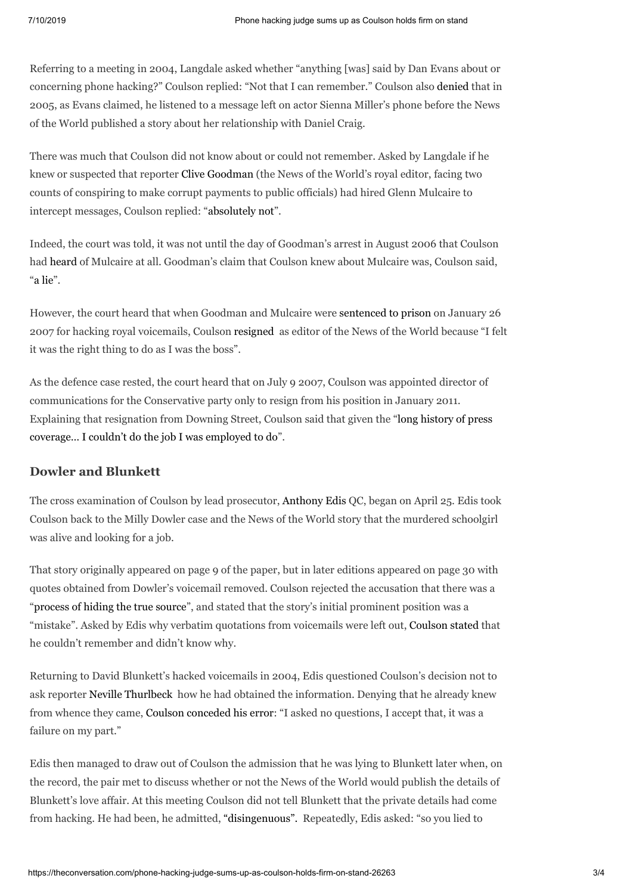Referring to a meeting in 2004, Langdale asked whether "anything [was] said by Dan Evans about or concerning phone hacking?" Coulson replied: "Not that I can remember." Coulson also [denied](http://www.bbc.co.uk/news/uk-27107983) that in 2005, as Evans claimed, he listened to a message left on actor Sienna Miller's phone before the News of the World published a story about her relationship with Daniel Craig.

There was much that Coulson did not know about or could not remember. Asked by Langdale if he knew or suspected that reporter Clive [Goodman](https://theconversation.com/journalism-in-the-dock-first-month-of-phone-hacking-trial-20737) (the News of the World's royal editor, facing two counts of conspiring to make corrupt payments to public officials) had hired Glenn Mulcaire to intercept messages, Coulson replied: "[absolutely](http://www.thedrum.com/opinion/2014/04/22/phone-hacking-trial-actress-affair-and-relative-source) not".

Indeed, the court was told, it was not until the day of Goodman's arrest in August 2006 that Coulson had [heard](http://fothom.wordpress.com/2014/04/23/hacking-trial-live-tweets-23-Apr/) of Mulcaire at all. Goodman's claim that Coulson knew about Mulcaire was, Coulson said, "a [lie](http://www.thedrum.com/opinion/2014/04/23/phone-hacking-trial-two-resignations-government-job-and-replica-gun)".

However, the court heard that when Goodman and Mulcaire were [sentenced](http://www.theguardian.com/media/2007/jan/26/newsoftheworld.pressandpublishing1) to prison on January 26 2007 for hacking royal voicemails, Coulson [resigned](http://www.thedrum.com/opinion/2014/04/23/phone-hacking-trial-two-resignations-government-job-and-replica-gun.) as editor of the News of the World because "I felt it was the right thing to do as I was the boss".

As the defence case rested, the court heard that on July 9 2007, Coulson was appointed director of communications for the Conservative party only to resign from his position in January 2011. Explaining that [resignation](http://fothom.wordpress.com/2014/04/23/hacking-trial-live-tweets-23-Apr/) from Downing Street, Coulson said that given the "long history of press coverage… I couldn't do the job I was employed to do".

## **Dowler and Blunkett**

The cross examination of Coulson by lead prosecutor, [Anthony](http://www.theguardian.com/uk-news/2013/oct/31/phone-hacking-mr-justice-saunders-andrew-edis-qc) Edis QC, began on April 25. Edis took Coulson back to the Milly Dowler case and the News of the World story that the murdered schoolgirl was alive and looking for a job.

That story originally appeared on page 9 of the paper, but in later editions appeared on page 30 with quotes obtained from Dowler's voicemail removed. Coulson rejected the accusation that there was a ["process](http://www.bbc.co.uk/news/uk-27158920) of hiding the true source", and stated that the story's initial prominent position was a "mistake". Asked by Edis why verbatim quotations from voicemails were left out, [Coulson](http://fothom.wordpress.com/2014/04/25/hacking-trial-live-tweets-25-Apr/) stated that he couldn't remember and didn't know why.

Returning to David Blunkett's hacked voicemails in 2004, Edis questioned Coulson's decision not to ask reporter Neville [Thurlbeck](http://www.theguardian.com/uk-news/2013/oct/30/phone-hacking-trial-news-of-world-staff) how he had obtained the information. Denying that he already knew from whence they came, Coulson [conceded](http://www.thedrum.com/opinion/2014/04/25/phone-hacking-trial-denials-dowler-and-dark-arts) his error: "I asked no questions, I accept that, it was a failure on my part."

Edis then managed to draw out of Coulson the admission that he was lying to Blunkett later when, on the record, the pair met to discuss whether or not the News of the World would publish the details of Blunkett's love affair. At this meeting Coulson did not tell Blunkett that the private details had come from hacking. He had been, he admitted, ["disingenuous".](http://www.thedrum.com/opinion/2014/04/28/phone-hacking-trial-coulson-challenged-david-blunkett-affair-tapes) Repeatedly, Edis asked: "so you lied to